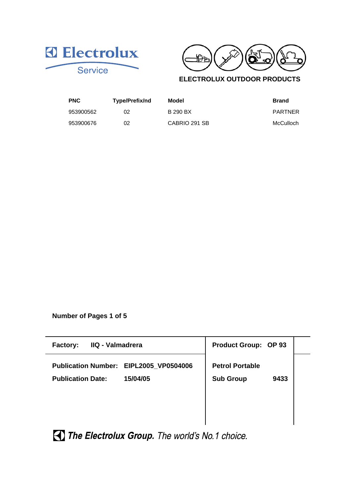



**ELECTROLUX OUTDOOR PRODUCTS**

| <b>PNC</b> | Type/Prefix/nd | Model           | <b>Brand</b> |
|------------|----------------|-----------------|--------------|
| 953900562  | 02             | <b>B 290 BX</b> | PARTNER      |
| 953900676  | 02             | CABRIO 291 SB   | McCulloch    |

**Number of Pages 1 of 5**

| IIQ - Valmadrera<br><b>Factory:</b>                                            | <b>Product Group: OP 93</b>                        |
|--------------------------------------------------------------------------------|----------------------------------------------------|
| Publication Number: EIPL2005_VP0504006<br>15/04/05<br><b>Publication Date:</b> | <b>Petrol Portable</b><br><b>Sub Group</b><br>9433 |
|                                                                                |                                                    |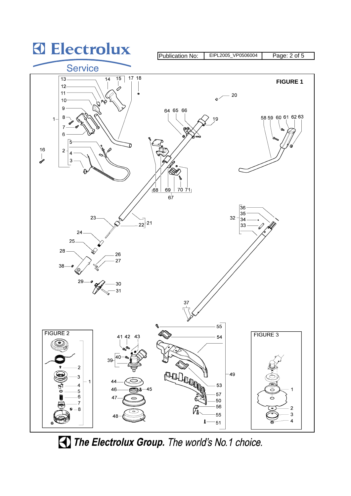

The Electrolux Group. The world's No.1 choice.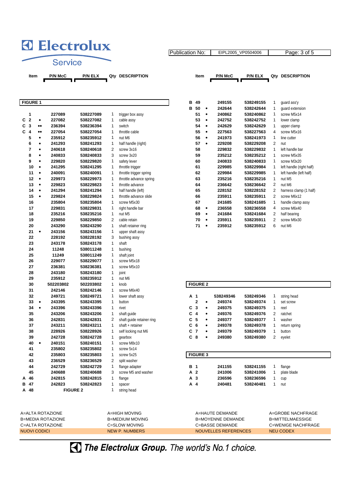## **3** Electrolux **Service**

Publication No: | EIPL2005\_VP0504006 | Page: 3 of 5

Item P/N McC P/N ELX Qty DESCRIPTION Item P/N McC P/N ELX Qty DESCRIPTION

| <b>FIGURE 1</b>              |                  |                  |                        |                |                           | в          | 49              |           | 249155    | 538249155              | $\mathbf{1}$            | guard ass'y              |
|------------------------------|------------------|------------------|------------------------|----------------|---------------------------|------------|-----------------|-----------|-----------|------------------------|-------------------------|--------------------------|
|                              |                  |                  |                        |                |                           | в          | 50              | $\bullet$ | 242644    | 538242644              | 1                       | guard extension          |
| 1                            |                  | 227089           | 538227089              | $\mathbf{1}$   | trigger box assy          |            | 51              | $\bullet$ | 240862    | 538240862              | $\mathbf{1}$            | screw M5x14              |
| C<br>$\overline{\mathbf{2}}$ | $\bullet$        | 227082           | 538227082              | 1              | cable assy                |            | 53              | $\bullet$ | 242752    | 538242752              | $\mathbf{1}$            | lower clamp              |
| C<br>$\mathbf{3}$            | $\bullet\bullet$ | 236394           | 538236394              | 1              | switch                    |            | 54              | $\bullet$ | 242629    | 538242629              | $\mathbf{1}$            | upper clamp              |
| C<br>$\boldsymbol{4}$        | $\bullet\bullet$ | 227054           | 538227054              | 1              | throttle cable            |            | 55              | $\bullet$ | 227563    | 538227563              | 4                       | screw M5x16              |
| 5                            | $\bullet$        | 235912           | 538235912              | $\mathbf{1}$   | nut M6                    |            | 56              | $\bullet$ | 241973    | 538241973              | $\mathbf{1}$            | line cutter              |
| 6                            | ٠                | 241293           | 538241293              | 1              | half handle (right)       |            | 57              | $\bullet$ | 229208    | 538229208              | $\overline{2}$          | nut                      |
| 7                            | $\bullet$        | 240618           | 538240618              | 2              | screw 3x16                |            | 58              |           | 229832    | 538229832              | $\mathbf{1}$            | left handle bar          |
| 8                            | ٠                | 240833           | 538240833              | 3              | screw 3x20                |            | 59              |           | 235212    | 538235212              | $\mathbf{1}$            | screw M5x35              |
| 9                            | $\bullet$        | 229820           | 538229820              | 1              | safety lever              |            | 60              |           | 240833    | 538240833              | $\mathbf{1}$            | screw M3x20              |
| 10                           | $\bullet$        | 241295           | 538241295              | 1              | throttle trigger          |            | 61              |           | 229985    | 538229984              | $\mathbf{1}$            | left handle (right half) |
| 11                           | $\bullet$        | 240091           | 538240091              | 1              | throttle trigger spring   |            | 62              |           | 229984    | 538229985              | $\mathbf{1}$            | left handle (left half)  |
| 12                           | $\bullet$        | 229973           | 538229973              | 1              | throttle advance spring   |            | 63              |           | 235216    | 538235216              | $\mathbf{1}$            | nut M5                   |
| 13                           | $\bullet$        | 229823           | 538229823              | 1              | throttle advance          |            | 64              |           | 236642    | 538236642              | $\overline{c}$          | nut M6                   |
| 14                           | $\bullet$        | 241294           | 538241294              | $\mathbf{1}$   | half handle (left)        |            | 65              |           | 228152    | 538228152              | $\overline{c}$          | harness clamp (1 half)   |
| 15                           | ٠                | 229824           | 538229824              | $\mathbf{1}$   | throttle advance slide    |            | 66              |           | 235911    | 538235911              | $\overline{c}$          | screw M6x12              |
| 16                           |                  | 235804           | 538235804              | $\mathbf{1}$   | screw M5x30               |            | 67              |           | 241685    | 538241685              | $\mathbf{1}$            | handle clamp assy        |
| 17                           |                  | 229831           | 538229831              | 1              | right handle bar          |            | 68              | $\bullet$ | 236558    | 538236558              | $\overline{\mathbf{4}}$ | screw M6x40              |
| 18                           |                  | 235216           | 538235216              | $\mathbf{1}$   | nut M5                    |            | 69              | $\bullet$ | 241684    | 538241684              | $\overline{c}$          | half bearing             |
| 19                           |                  | 229850           | 538229850              | 2              | cable retain              |            | 70              | $\bullet$ | 235911    | 538235911              | 2                       | screw M6x30              |
| 20                           |                  | 243290           | 538243290              | 1              | shaft retainer ring       |            | 71              | $\bullet$ | 235912    | 538235912              | 6                       | nut M6                   |
| 21                           | $\bullet$        | 243156           | 538243156              | 1              | upper shaft assy          |            |                 |           |           |                        |                         |                          |
| 22                           |                  | 228192           | 538228192              | 3              | bushing assy              |            |                 |           |           |                        |                         |                          |
| 23                           |                  | 243178           | 538243178              | 1              | shaft                     |            |                 |           |           |                        |                         |                          |
| 24                           |                  | 11248            | 538011248              | 1              | bushing                   |            |                 |           |           |                        |                         |                          |
| 25                           |                  | 11249            | 538011249              | $\mathbf{1}$   | shaft joint               |            |                 |           |           |                        |                         |                          |
| 26                           |                  | 229077           | 538229077              | 1              | screw M5x18               |            |                 |           |           |                        |                         |                          |
| 27                           |                  | 236381           | 538236381              | $\mathbf{1}$   | screw M5x10               |            |                 |           |           |                        |                         |                          |
| 28                           |                  | 243180           | 538243180              | 1              | joint                     |            |                 |           |           |                        |                         |                          |
| 29                           |                  | 235912           | 538235912              | 1              | nut M6                    |            |                 |           |           |                        |                         |                          |
| 30                           |                  | 502203802        | 502203802              | 1              | knob                      |            | <b>FIGURE 2</b> |           |           |                        |                         |                          |
| 31                           |                  | 242146           | 538242146              | 1              | screw M6x40               |            |                 |           |           |                        |                         |                          |
| 32                           |                  | 249721           | 538249721              | 1              | lower shaft assy          | A 1        |                 |           | 538249346 | 538249346              |                         |                          |
| 33                           | ٠                | 243395           | 538243395              | $\mathbf{1}$   | button                    |            | 2               | ٠         | 249374    | 538249374              | 1<br>$\mathbf{1}$       | string head<br>set screw |
| 34                           | $\bullet$        | 243396           | 538243396              | $\mathbf{1}$   | rivet                     | С          | 3               | $\bullet$ | 249375    | 538249375              | $\mathbf{1}$            | reel                     |
| 35                           |                  |                  |                        | 1              | shaft quide               | C          | $\overline{4}$  | $\bullet$ | 249376    |                        | $\overline{2}$          | ratchet                  |
| 36                           |                  | 243206<br>242831 | 538243206<br>538242831 | 2              | shaft quide retainer ring | C          | 5               | $\bullet$ | 249377    | 538249376<br>538249377 | $\mathbf{1}$            | washer                   |
| 37                           |                  | 243211           | 538243211              | 1              | shaft + retainer          | C          | 6               | ٠         | 249378    | 538249378              | $\mathbf{1}$            | return spring            |
| 38                           |                  | 228926           | 538228926              | $\mathbf{1}$   | self locking nut M6       | C          | $\overline{7}$  | $\bullet$ | 249379    | 538249379              | $\mathbf{1}$            | button                   |
| 39                           |                  | 242728           | 538242728              | 1              |                           |            | $C_8$           | ٠         | 249380    |                        | $\overline{2}$          |                          |
| 40                           | $\bullet$        | 240151           | 538240151              | 1              | qearbox<br>screw M8x10    |            |                 |           |           | 538249380              |                         | eyelet                   |
| 41                           |                  | 235802           | 538235802              | 1              | screw 5x14                |            |                 |           |           |                        |                         |                          |
|                              |                  |                  |                        | 1              |                           |            |                 |           |           |                        |                         |                          |
| 42                           |                  | 235803           | 538235803              | $\overline{2}$ | screw 5x25                |            | <b>FIGURE 3</b> |           |           |                        |                         |                          |
| 43                           |                  | 236529           | 538236529              |                | split washer              |            |                 |           |           |                        |                         |                          |
| 44                           |                  | 242729           | 538242729              | 1              | flange adapter            | <b>B</b> 1 |                 |           | 241155    | 538241155              | 1                       | flange                   |
| 45                           |                  | 240688           | 538240688              | 3              | screw M5 and washer       |            | A 2             |           | 241006    | 538241006              | $\mathbf{1}$            | plate blade              |
| 46<br>А                      |                  | 242815           | 538242815              | 1              | flange                    |            | A <sub>3</sub>  |           | 236596    | 538236596              | 1                       | cup                      |
| в<br>47                      |                  | 242823           | 538242823              | 1              | spacer                    |            | A 4             |           | 240481    | 538240481              | $\mathbf{1}$            | nut                      |
| A 48                         |                  |                  | <b>FIGURE 2</b>        | $\mathbf{1}$   | string head               |            |                 |           |           |                        |                         |                          |
|                              |                  |                  |                        |                |                           |            |                 |           |           |                        |                         |                          |

A=ALTA ROTAZIONE A=HIGH MOVING B=MEDIA ROTAZIONE B=MEDIUM MOVING C=ALTA ROTAZIONE C=SLOW MOVING NUOVI CODICI NEW P. NUMBERS

| в | 49 |   | 249155 | 538249155 | 1              | quard ass'y              |
|---|----|---|--------|-----------|----------------|--------------------------|
| в | 50 |   | 242644 | 538242644 | 1              | quard extension          |
|   | 51 |   | 240862 | 538240862 | 1              | screw M5x14              |
|   | 53 |   | 242752 | 538242752 | 1              | lower clamp              |
|   | 54 | ٠ | 242629 | 538242629 | 1              | upper clamp              |
|   | 55 | ٠ | 227563 | 538227563 | 4              | screw M5x16              |
|   | 56 | ٠ | 241973 | 538241973 | 1              | line cutter              |
|   | 57 | ٠ | 229208 | 538229208 | $\overline{2}$ | nut                      |
|   | 58 |   | 229832 | 538229832 | 1              | left handle har          |
|   | 59 |   | 235212 | 538235212 | 1              | screw M5x35              |
|   | 60 |   | 240833 | 538240833 | 1              | screw M3x20              |
|   | 61 |   | 229985 | 538229984 | 1              | left handle (right half) |
|   | 62 |   | 229984 | 538229985 | 1              | left handle (left half)  |
|   | 63 |   | 235216 | 538235216 | 1              | nut M5                   |
|   | 64 |   | 236642 | 538236642 | 2              | nut M6                   |
|   | 65 |   | 228152 | 538228152 | 2              | harness clamp (1 half    |
|   | 66 |   | 235911 | 538235911 | $\mathcal{P}$  | screw M6x12              |
|   | 67 |   | 241685 | 538241685 | 1              | handle clamp assy        |
|   | 68 |   | 236558 | 538236558 | 4              | screw M6x40              |
|   | 69 |   | 241684 | 538241684 | 2              | half bearing             |
|   | 70 |   | 235911 | 538235911 | 2              | screw M6x30              |
|   | 71 |   | 235912 | 538235912 | 6              | nut M6                   |

|     | <b>FIGURE 2</b>                                 |  |                          |           |                  |                   |  |  |  |
|-----|-------------------------------------------------|--|--------------------------|-----------|------------------|-------------------|--|--|--|
|     |                                                 |  |                          |           |                  |                   |  |  |  |
| A   | 1                                               |  | 538249346                | 538249346 | 1                | string head       |  |  |  |
|     | 2                                               |  | 249374                   | 538249374 | 1                | set screw         |  |  |  |
| c   | 3                                               |  | 249375                   | 538249375 | 1                | reel              |  |  |  |
| C   | 4                                               |  | 249376                   | 538249376 | $\overline{2}$   | ratchet           |  |  |  |
| C.  | 5                                               |  | 249377                   | 538249377 | 1                | washer            |  |  |  |
| C.  | 6                                               |  | 249378                   | 538249378 | 1                | return spring     |  |  |  |
| C   | $\overline{7}$                                  |  | 249379                   | 538249379 | 1                | button            |  |  |  |
| C   | 8                                               |  | 249380                   | 538249380 | $\overline{2}$   | eyelet            |  |  |  |
|     |                                                 |  |                          |           |                  |                   |  |  |  |
|     |                                                 |  |                          |           |                  |                   |  |  |  |
|     | <b>FIGURE 3</b>                                 |  |                          |           |                  |                   |  |  |  |
|     |                                                 |  |                          |           |                  |                   |  |  |  |
| в   | $\overline{\mathbf{1}}$                         |  | 241155                   | 538241155 | 1                | flange            |  |  |  |
| A   | $\overline{2}$                                  |  | 241006                   | 538241006 | 1                | plate blade       |  |  |  |
| A 3 |                                                 |  | 236596                   | 538236596 | 1                | cup               |  |  |  |
| А   | $\boldsymbol{A}$                                |  | 240481                   | 538240481 | 1                | nut               |  |  |  |
|     |                                                 |  |                          |           |                  |                   |  |  |  |
|     |                                                 |  |                          |           |                  |                   |  |  |  |
|     |                                                 |  |                          |           |                  |                   |  |  |  |
|     |                                                 |  |                          |           |                  |                   |  |  |  |
|     |                                                 |  | A=HAUTE DEMANDE          |           |                  | A=GROBE NACHFRAGE |  |  |  |
|     |                                                 |  | <b>B=MOYENNE DEMANDE</b> |           | B=MITTELMAESSIGE |                   |  |  |  |
|     | C=BASSE DEMANDE<br>C=WENIGE NACHFRAGE           |  |                          |           |                  |                   |  |  |  |
|     | <b>NOUVELLES REFERENCES</b><br><b>NEU CODEX</b> |  |                          |           |                  |                   |  |  |  |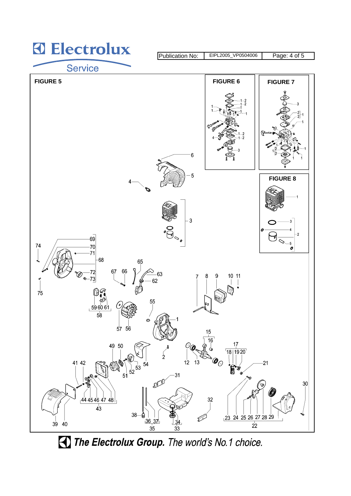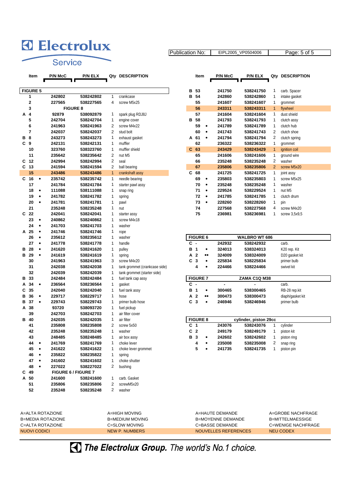## **D** Electrolux

Publication No: | EIPL2005\_VP0504006 | Page: 5 of 5

Service

| Item | <b>P/N McC</b> | <b>P/N ELX</b> | Qty DE |  |
|------|----------------|----------------|--------|--|

|        | <b>FIGURE 5</b>         |           |                  |                                         |                |                               | в | 53                       |                  | 241750          | 538241750             | 1              | carb. Spacer    |
|--------|-------------------------|-----------|------------------|-----------------------------------------|----------------|-------------------------------|---|--------------------------|------------------|-----------------|-----------------------|----------------|-----------------|
|        | 1                       |           | 242802           | 538242802                               | 1              | crankcase                     | в | 54                       |                  | 242860          | 538242860             | 1              | intake gasket   |
|        | $\overline{\mathbf{2}}$ |           | 227565           | 538227565                               | 4              | screw M5x25                   |   | 55                       |                  | 241607          | 538241607             | 1              | grommet         |
|        | 3                       |           |                  | <b>FIGURE 8</b>                         |                |                               |   | 56                       |                  | 243311          | 538243311             | $\mathbf{1}$   | flywheel        |
| А      | 4                       |           | 92879            | 538092879                               | 1              | spark plug RDJ8J              |   | 57                       |                  | 241604          | 538241604             | 1              | dust shield     |
|        | 5                       |           | 242704           | 538242704                               | 1              | engine cover                  | в | 58                       |                  | 241793          | 538241793             | 1              | clutch assy     |
|        | 6                       |           | 241963           | 538241963                               | 2              | screw M4x22                   |   | 59                       | $\bullet$        | 241789          | 538241789             | 1              | clutch hub      |
|        | 7                       |           | 242037           | 538242037                               | $\overline{2}$ | stud bolt                     |   | 60                       | $\bullet$        | 241743          | 538241743             | $\overline{2}$ | clutch shoe     |
| в      | 8                       |           | 243273           | 538243273                               | 1              | exhaust gasket                |   | A 61                     | ٠                | 241794          | 538241794             | 2              | clutch spring   |
| C      | 9                       |           | 242131           | 538242131                               | 1              | muffler                       |   | 62                       |                  | 236322          | 538236322             | 1              | grommet         |
|        | 10                      |           | 323760           | 538323760                               | 1              | muffler shield                |   | $C$ 63                   |                  | 243429          | 538243429             | $\mathbf{1}$   | ignition coil   |
|        | 11                      |           | 235642           | 538235642                               | $\overline{2}$ | nut M5                        |   | 65                       |                  | 241606          | 538241606             | 1              | ground wire     |
| С      | 12                      |           | 242994           | 538242994                               | $\overline{2}$ | seal                          |   | 66                       |                  | 235248          | 538235248             | 2              | washer          |
| С      | 13                      |           | 241594           | 538241594                               | 2              | ball bearing                  |   | 67                       |                  | 235806          | 538235806             | $\overline{2}$ | screw M5x20     |
|        | 15                      |           | 243486           | 538243486                               | $\mathbf{1}$   | crankshaft assy               | C | 68                       |                  | 241725          | 538241725             | 1              | joint assy      |
| C      | 16                      | $\bullet$ | 235742           | 538235742                               | 1              | needle bearing                |   | 69                       | $\bullet$        | 235803          | 538235803             | 1              | screw M5x25     |
|        | 17                      |           | 241784           | 538241784                               | 1              | starter pawl assy             |   | 70                       | $\bullet$        | 235248          | 538235248             | 1              | washer          |
|        | 18                      | ٠         | 111088           | 538111088                               | 1              | snap ring                     |   | 71                       | $\bullet$        | 229524          | 538229524             | 1              | nut M5          |
|        | 19                      | ٠         | 241782           | 538241782                               | 1              | spring                        |   | 72                       | $\bullet$        | 241785          | 538241785             | 1              | clutch drum     |
|        | 20                      | $\bullet$ | 241781           | 538241781                               | 1              | pawl                          |   | 73                       | $\bullet$        | 228260          | 538228260             | 1              | pin             |
|        | 21                      |           | 235248           | 538235248                               | 1              | nut                           |   | 74                       |                  | 227568          | 538227568             | 4              | screw M4x20     |
| C      | -22                     |           | 242041           | 538242041                               | 1              | starter assy                  |   | 75                       |                  | 236981          | 538236981             | 1              | screw 3,5x9,5   |
|        | 23                      | ٠         | 240862           | 538240862                               | 1              | screw M4x18                   |   |                          |                  |                 |                       |                |                 |
|        | 24                      | ٠         | 241703           | 538241703                               | 1              | washer                        |   |                          |                  |                 |                       |                |                 |
| A      | 25                      | $\bullet$ | 241746           | 538241746                               | 1              | rope                          |   |                          |                  |                 |                       |                |                 |
|        | 26                      | $\bullet$ | 235612           | 538235612                               | 1              | washer                        |   | <b>FIGURE 6</b>          |                  |                 | <b>WALBRO WT 686</b>  |                |                 |
|        | 27                      | $\bullet$ | 241778           | 538241778                               | 1              | handle                        |   | с.                       |                  | 242932          | 538242932             |                | carb.           |
| в      | 28                      | $\bullet$ | 241620           | 538241620                               | 1              | pulley                        | в | $\overline{1}$           | ٠                | 324013          | 538324013             |                | K20 rep. Kit    |
| в      | 29                      | $\bullet$ | 241619           | 538241619                               | 1              | spring                        | А | $\overline{\mathbf{2}}$  | $\bullet\bullet$ | 324009          | 538324009             |                | D20 gasket kit  |
|        | 30                      |           | 241963           | 538241963                               | 3              | screw M4x20                   | C | 3                        | $\bullet$        | 225834          | 538225834             |                | primer bulb     |
|        | 31                      |           | 242038           | 538242038                               | 1              | tank grommet (crankcase side) |   | 4                        | ٠                | 224466          | 538224466             |                | swivel kit      |
|        | 32                      |           | 242039           | 538242039                               | 1              | tank grommet (starter side)   |   |                          |                  |                 |                       |                |                 |
| в      | 33                      |           | 242484           | 538242484                               | 1              | fuel tank cap assy            |   | <b>FIGURE 7</b>          |                  |                 | ZAMA C1Q M38          |                |                 |
| А      | 34                      | ٠         | 236564           | 538236564                               | 1              | gasket                        | C | $\overline{\phantom{a}}$ |                  |                 |                       |                | carb.           |
| C      | 35                      |           | 242040           | 538242040                               | 1              | fuel tank assy                | в | $\overline{\mathbf{1}}$  | ٠                | 300465          | 538300465             |                | RB-28 rep.kit   |
| в      | 36                      | ٠         | 229717           | 538229717                               | 1              | hose                          | А | 2                        |                  | 300473          | 538300473             |                | diaph/gasket ki |
| в      | 37                      | $\bullet$ | 229743           | 538229743                               | 1              | primer bulb hose              | C | 3                        | ٠                | 246946          | 538246946             |                | primer bulb     |
| A      | 38                      |           | 93720            | 538093720                               | 1              | fuel pickup                   |   |                          |                  |                 |                       |                |                 |
|        | 39                      |           | 242703           | 538242703                               | 1              | air filter cover              |   |                          |                  |                 |                       |                |                 |
| в      | 40                      |           | 242035           | 538242035                               | 1              | air filter                    |   | <b>FIGURE 8</b>          |                  |                 | cylinder, piston 29cc |                |                 |
|        | 41                      |           | 235808           | 538235808                               | 2              | screw 5x50                    |   | C <sub>1</sub>           |                  | 243076          | 538243076             | 1              | cylinder        |
|        | 42                      |           | 235248           | 538235248                               | 1              | washer                        | C | $\overline{\mathbf{2}}$  |                  | 249179          | 538249179             | 1              | piston kit      |
|        | 43                      |           | 248485           | 538248485                               | 1              | air box assy                  | в | 3                        | ٠                | 242602          | 538242602             | 1              | piston ring     |
|        | 44                      |           | 241769           | 538241769                               | 1              | choke lever                   |   | 4                        | $\bullet$        | 235008          | 538235008             | 2              |                 |
|        |                         |           | 241622           | 538241622                               |                |                               |   |                          |                  | 241735          | 538241735             |                | snap ring       |
|        | 45<br>46                | ٠         | 235822           | 538235822                               | 1<br>1         | choke lever grommet           |   | 5                        |                  |                 |                       |                | 1 piston pin    |
|        | 47                      | ٠         | 241602           | 538241602                               | 1              | spring<br>choke shutter       |   |                          |                  |                 |                       |                |                 |
|        |                         | ٠         | 227022           |                                         | 2              |                               |   |                          |                  |                 |                       |                |                 |
| $C$ 49 | 48                      |           |                  | 538227022<br><b>FIGURE 6 / FIGURE 7</b> |                | bushing                       |   |                          |                  |                 |                       |                |                 |
|        |                         |           |                  |                                         |                |                               |   |                          |                  |                 |                       |                |                 |
| A 50   |                         |           | 241600           | 538241600                               | 1              | carb. Gasket                  |   |                          |                  |                 |                       |                |                 |
|        | 51                      |           | 235806           | 538235806                               | 2              | screwM5x20                    |   |                          |                  |                 |                       |                |                 |
|        | 52                      |           | 235248           | 538235248                               | $\mathbf{2}$   | washer                        |   |                          |                  |                 |                       |                |                 |
|        |                         |           |                  |                                         |                |                               |   |                          |                  |                 |                       |                |                 |
|        |                         |           |                  |                                         |                |                               |   |                          |                  |                 |                       |                |                 |
|        |                         |           |                  |                                         |                |                               |   |                          |                  | A=HAUTE DEMANDE |                       |                |                 |
|        |                         |           | A=ALTA ROTAZIONE |                                         |                | A=HIGH MOVING                 |   |                          |                  |                 |                       |                | A=GROBE NACHP   |

| ltem             | <b>P/N McC</b> | <b>P/N ELX</b>  | Qty         | <b>DESCRIPTION</b> |   | Item            |           | <b>P/N McC</b> | <b>P/N ELX</b> | Qty | <b>DESCRIPTION</b> |
|------------------|----------------|-----------------|-------------|--------------------|---|-----------------|-----------|----------------|----------------|-----|--------------------|
| URE <sub>5</sub> |                |                 |             |                    | в | 53              |           | 241750         | 538241750      |     | carb. Spacer       |
| 1                | 242802         | 538242802       |             | crankcase          | в | 54              |           | 242860         | 538242860      |     | intake gasket      |
| 2                | 227565         | 538227565       | 4           | screw M5x25        |   | 55              |           | 241607         | 538241607      |     | grommet            |
| 3                |                | <b>FIGURE 8</b> |             |                    |   | 56              |           | 243311         | 538243311      |     | flywheel           |
| 4                | 92879          | 538092879       |             | spark plug RDJ8J   |   | 57              |           | 241604         | 538241604      |     | dust shield        |
| 5                | 242704         | 538242704       |             | engine cover       | в | 58              |           | 241793         | 538241793      |     | clutch assy        |
| 6                | 241963         | 538241963       | 2           | screw M4x22        |   | 59              | ٠         | 241789         | 538241789      |     | clutch hub         |
| 7                | 242037         | 538242037       | 2           | stud bolt          |   | 60              | ٠         | 241743         | 538241743      | 2   | clutch shoe        |
| 8                | 243273         | 538243273       |             | exhaust gasket     |   | A 61            | ٠         | 241794         | 538241794      | 2   | clutch spring      |
| 9                | 242131         | 538242131       | 1           | muffler            |   | 62              |           | 236322         | 538236322      |     | grommet            |
| 10               | 323760         | 538323760       |             | muffler shield     |   | $C$ 63          |           | 243429         | 538243429      |     | ignition coil      |
| 11               | 235642         | 538235642       | 2           | nut M5             |   | 65              |           | 241606         | 538241606      |     | ground wire        |
| 12               | 242994         | 538242994       | 2           | seal               |   | 66              |           | 235248         | 538235248      | 2   | washer             |
| 13               | 241594         | 538241594       | 2           | ball bearing       |   | 67              |           | 235806         | 538235806      | 2   | screw M5x20        |
| 15               | 243486         | 538243486       | $\mathbf 1$ | crankshaft assy    |   | C <sub>68</sub> |           | 241725         | 538241725      |     | joint assy         |
| 16<br>٠          | 235742         | 538235742       |             | needle bearing     |   | 69              | ٠         | 235803         | 538235803      |     | screw M5x25        |
| 17               | 241784         | 538241784       |             | starter pawl assy  |   | 70              | $\bullet$ | 235248         | 538235248      |     | washer             |
| 18               | 111088         | 538111088       |             | snap ring          |   | 71              | $\bullet$ | 229524         | 538229524      |     | nut M5             |
| 19<br>٠          | 241782         | 538241782       | 1           | spring             |   | 72              | $\bullet$ | 241785         | 538241785      |     | clutch drum        |
| 20               | 241781         | 538241781       |             | pawl               |   | 73              | ٠         | 228260         | 538228260      |     | pin                |
| 21               | 235248         | 538235248       |             | nut                |   | 74              |           | 227568         | 538227568      | 4   | screw M4x20        |
| 22               | 242041         | 538242041       |             | starter assy       |   | 75              |           | 236981         | 538236981      |     | screw 3,5x9,5      |

| <b>FIGURE 6</b> |                     |        | <b>WALBRO WT 686</b> |                |
|-----------------|---------------------|--------|----------------------|----------------|
| с.              |                     | 242932 | 538242932            | carb.          |
| B 1             | ٠                   | 324013 | 538324013            | K20 rep. Kit   |
| A 2             | $^{\bullet\bullet}$ | 324009 | 538324009            | D20 gasket kit |
| C <sub>3</sub>  | ٠                   | 225834 | 538225834            | primer bulb    |
| 4               |                     | 224466 | 538224466            | swivel kit     |

| <b>FIGURE 7</b> |            | <b>ZAMA C1Q M38</b> |                  |
|-----------------|------------|---------------------|------------------|
| с.              |            | ٠                   | carb.            |
| B 1             | 300465     | 538300465           | RB-28 rep.kit    |
| A 2             | <br>300473 | 538300473           | diaph/gasket kit |
| C 3             | 246946     | 538246946           | primer bulb      |

| <b>FIGURE 8</b> |   |        | cylinder, piston 29cc |   |             |
|-----------------|---|--------|-----------------------|---|-------------|
| C 1             |   | 243076 | 538243076             |   | cylinder    |
| C <sub>2</sub>  |   | 249179 | 538249179             |   | piston kit  |
| <b>B</b> 3      | ٠ | 242602 | 538242602             |   | piston ring |
| 4               | ٠ | 235008 | 538235008             | 2 | snap ring   |
| 5               |   | 241735 | 538241735             |   | niston nin  |

| A=ALTA ROTAZIONE  | A=HIGH MOVING      | A=HAUTE DEMANDE          | A=GROBE NACHFRAGE        |
|-------------------|--------------------|--------------------------|--------------------------|
| B=MEDIA ROTAZIONE | B=MEDIUM MOVING    | <b>B=MOYENNE DEMANDE</b> | <b>B</b> =MITTFLMAFSSIGF |
| C=ALTA ROTAZIONE  | $C = SI$ OW MOVING | C=BASSE DEMANDE          | C=WENIGE NACHFRAGE       |
| NUOVI CODICI      | NEW P. NUMBERS     | NOUVELLES REFERENCES     | NEU CODEX                |
|                   |                    |                          |                          |